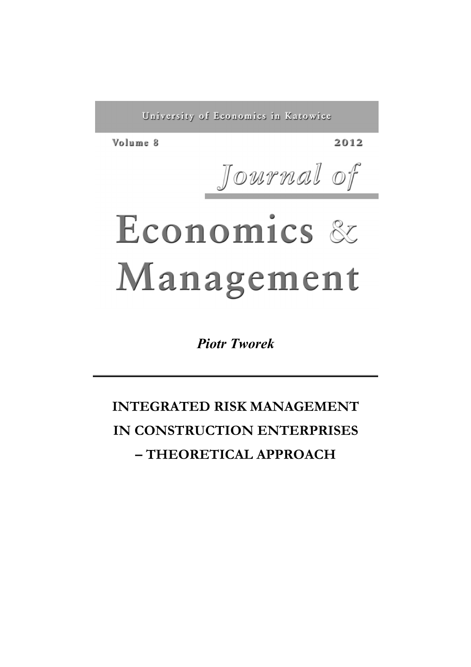University of Economics in Katowice

Volume 8

2012

Journal of

# Economics & Management

*Piotr Tworek*

**INTEGRATED RISK MANAGEMENT IN CONSTRUCTION ENTERPRISES – THEORETICAL APPROACH**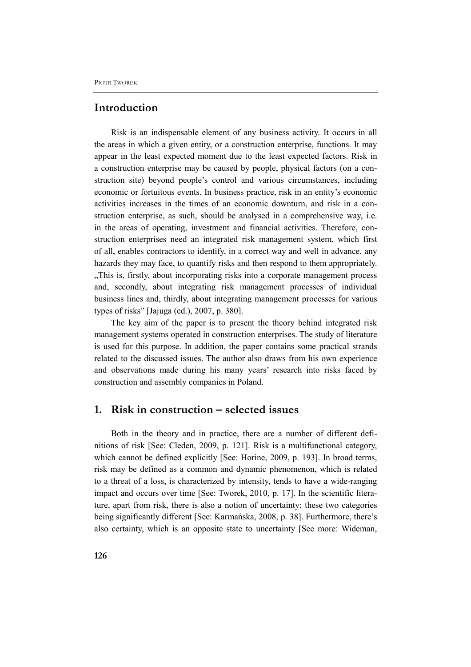### **Introduction**

Risk is an indispensable element of any business activity. It occurs in all the areas in which a given entity, or a construction enterprise, functions. It may appear in the least expected moment due to the least expected factors. Risk in a construction enterprise may be caused by people, physical factors (on a construction site) beyond people's control and various circumstances, including economic or fortuitous events. In business practice, risk in an entity's economic activities increases in the times of an economic downturn, and risk in a construction enterprise, as such, should be analysed in a comprehensive way, i.e. in the areas of operating, investment and financial activities. Therefore, construction enterprises need an integrated risk management system, which first of all, enables contractors to identify, in a correct way and well in advance, any hazards they may face, to quantify risks and then respond to them appropriately. "This is, firstly, about incorporating risks into a corporate management process and, secondly, about integrating risk management processes of individual business lines and, thirdly, about integrating management processes for various types of risks" [Jajuga (ed.), 2007, p. 380].

The key aim of the paper is to present the theory behind integrated risk management systems operated in construction enterprises. The study of literature is used for this purpose. In addition, the paper contains some practical strands related to the discussed issues. The author also draws from his own experience and observations made during his many years' research into risks faced by construction and assembly companies in Poland.

## **1. Risk in construction – selected issues**

Both in the theory and in practice, there are a number of different definitions of risk [See: Cleden, 2009, p. 121]. Risk is a multifunctional category, which cannot be defined explicitly [See: Horine, 2009, p. 193]. In broad terms, risk may be defined as a common and dynamic phenomenon, which is related to a threat of a loss, is characterized by intensity, tends to have a wide-ranging impact and occurs over time [See: Tworek, 2010, p. 17]. In the scientific literature, apart from risk, there is also a notion of uncertainty; these two categories being significantly different [See: Karmańska, 2008, p. 38]. Furthermore, there's also certainty, which is an opposite state to uncertainty [See more: Wideman,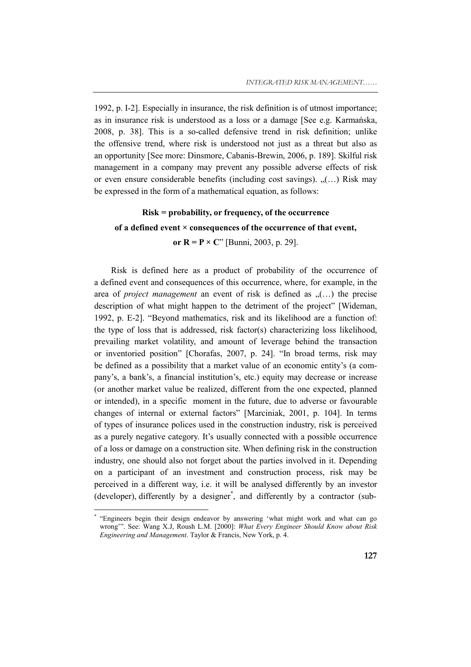1992, p. I-2]. Especially in insurance, the risk definition is of utmost importance; as in insurance risk is understood as a loss or a damage [See e.g. Karmańska, 2008, p. 38]. This is a so-called defensive trend in risk definition; unlike the offensive trend, where risk is understood not just as a threat but also as an opportunity [See more: Dinsmore, Cabanis-Brewin, 2006, p. 189]. Skilful risk management in a company may prevent any possible adverse effects of risk or even ensure considerable benefits (including cost savings). "(…) Risk may be expressed in the form of a mathematical equation, as follows:

# **Risk = probability, or frequency, of the occurrence of a defined event × consequences of the occurrence of that event,**

#### **or R = P**  $\times$  C" [Bunni, 2003, p. 29].

Risk is defined here as a product of probability of the occurrence of a defined event and consequences of this occurrence, where, for example, in the area of *project management* an event of risk is defined as  $($ ...) the precise description of what might happen to the detriment of the project" [Wideman, 1992, p. E-2]. "Beyond mathematics, risk and its likelihood are a function of: the type of loss that is addressed, risk factor(s) characterizing loss likelihood, prevailing market volatility, and amount of leverage behind the transaction or inventoried position" [Chorafas, 2007, p. 24]. "In broad terms, risk may be defined as a possibility that a market value of an economic entity's (a company's, a bank's, a financial institution's, etc.) equity may decrease or increase (or another market value be realized, different from the one expected, planned or intended), in a specific moment in the future, due to adverse or favourable changes of internal or external factors" [Marciniak, 2001, p. 104]. In terms of types of insurance polices used in the construction industry, risk is perceived as a purely negative category. It's usually connected with a possible occurrence of a loss or damage on a construction site. When defining risk in the construction industry, one should also not forget about the parties involved in it. Depending on a participant of an investment and construction process, risk may be perceived in a different way, i.e. it will be analysed differently by an investor (developer), differently by a designer\* , and differently by a contractor (sub-

 $\overline{a}$ 

<sup>\*</sup> "Engineers begin their design endeavor by answering 'what might work and what can go wrong'". See: Wang X.J, Roush L.M. [2000]: *What Every Engineer Should Know about Risk Engineering and Management*. Taylor & Francis, New York, p. 4.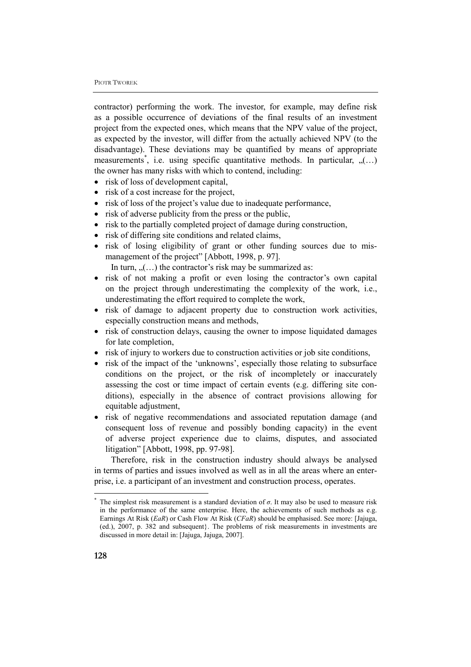contractor) performing the work. The investor, for example, may define risk as a possible occurrence of deviations of the final results of an investment project from the expected ones, which means that the NPV value of the project, as expected by the investor, will differ from the actually achieved NPV (to the disadvantage). These deviations may be quantified by means of appropriate measurements<sup>\*</sup>, i.e. using specific quantitative methods. In particular, "(...) the owner has many risks with which to contend, including:

- risk of loss of development capital,
- risk of a cost increase for the project,
- risk of loss of the project's value due to inadequate performance,
- risk of adverse publicity from the press or the public,
- risk to the partially completed project of damage during construction,
- risk of differing site conditions and related claims,
- risk of losing eligibility of grant or other funding sources due to mismanagement of the project" [Abbott, 1998, p. 97].

In turn,  $($ ...) the contractor's risk may be summarized as:

- risk of not making a profit or even losing the contractor's own capital on the project through underestimating the complexity of the work, i.e., underestimating the effort required to complete the work,
- risk of damage to adjacent property due to construction work activities, especially construction means and methods,
- risk of construction delays, causing the owner to impose liquidated damages for late completion,
- risk of injury to workers due to construction activities or job site conditions,
- risk of the impact of the 'unknowns', especially those relating to subsurface conditions on the project, or the risk of incompletely or inaccurately assessing the cost or time impact of certain events (e.g. differing site conditions), especially in the absence of contract provisions allowing for equitable adjustment,
- risk of negative recommendations and associated reputation damage (and consequent loss of revenue and possibly bonding capacity) in the event of adverse project experience due to claims, disputes, and associated litigation" [Abbott, 1998, pp. 97-98].

Therefore, risk in the construction industry should always be analysed in terms of parties and issues involved as well as in all the areas where an enterprise, i.e. a participant of an investment and construction process, operates.

The simplest risk measurement is a standard deviation of  $\sigma$ . It may also be used to measure risk in the performance of the same enterprise. Here, the achievements of such methods as e.g. Earnings At Risk (*EaR*) or Cash Flow At Risk (*CFaR*) should be emphasised. See more: [Jajuga, (ed.), 2007, p. 382 and subsequent}. The problems of risk measurements in investments are discussed in more detail in: [Jajuga, Jajuga, 2007].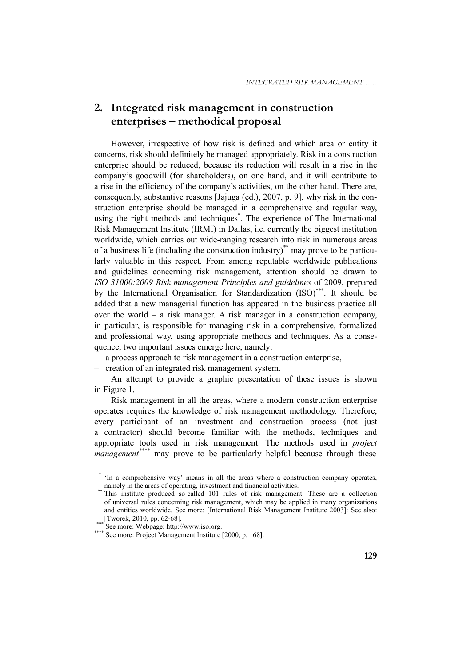# **2. Integrated risk management in construction enterprises – methodical proposal**

However, irrespective of how risk is defined and which area or entity it concerns, risk should definitely be managed appropriately. Risk in a construction enterprise should be reduced, because its reduction will result in a rise in the company's goodwill (for shareholders), on one hand, and it will contribute to a rise in the efficiency of the company's activities, on the other hand. There are, consequently, substantive reasons [Jajuga (ed.), 2007, p. 9], why risk in the construction enterprise should be managed in a comprehensive and regular way, using the right methods and techniques\* . The experience of The International Risk Management Institute (IRMI) in Dallas, i.e. currently the biggest institution worldwide, which carries out wide-ranging research into risk in numerous areas of a business life (including the construction industry)\*\* may prove to be particularly valuable in this respect. From among reputable worldwide publications and guidelines concerning risk management, attention should be drawn to *ISO 31000:2009 Risk management Principles and guidelines* of 2009, prepared by the International Organisation for Standardization (ISO)<sup>\*\*\*</sup>. It should be added that a new managerial function has appeared in the business practice all over the world – a risk manager. A risk manager in a construction company, in particular, is responsible for managing risk in a comprehensive, formalized and professional way, using appropriate methods and techniques. As a consequence, two important issues emerge here, namely:

– a process approach to risk management in a construction enterprise,

– creation of an integrated risk management system.

An attempt to provide a graphic presentation of these issues is shown in Figure 1.

Risk management in all the areas, where a modern construction enterprise operates requires the knowledge of risk management methodology. Therefore, every participant of an investment and construction process (not just a contractor) should become familiar with the methods, techniques and appropriate tools used in risk management. The methods used in *project management\*\*\*\** may prove to be particularly helpful because through these

 $\overline{a}$ 

<sup>\*</sup> 'In a comprehensive way' means in all the areas where a construction company operates, namely in the areas of operating, investment and financial activities.<br><sup>\*\*</sup> This institute produced so-called 101 rules of risk management. These are a collection

of universal rules concerning risk management, which may be applied in many organizations and entities worldwide. See more: [International Risk Management Institute 2003]: See also:<br>[Tworek, 2010, pp. 62-68].

<sup>\*\*\*</sup> See more: Webpage: http://www.iso.org. \*\*\*\* See more: Project Management Institute [2000, p. 168].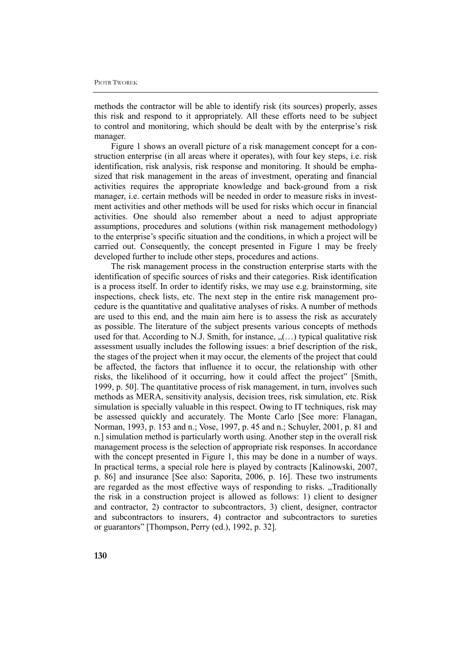methods the contractor will be able to identify risk (its sources) properly, asses this risk and respond to it appropriately. All these efforts need to be subject to control and monitoring, which should be dealt with by the enterprise's risk manager.

Figure 1 shows an overall picture of a risk management concept for a construction enterprise (in all areas where it operates), with four key steps, i.e. risk identification, risk analysis, risk response and monitoring. It should be emphasized that risk management in the areas of investment, operating and financial activities requires the appropriate knowledge and back-ground from a risk manager, i.e. certain methods will be needed in order to measure risks in investment activities and other methods will be used for risks which occur in financial activities. One should also remember about a need to adjust appropriate assumptions, procedures and solutions (within risk management methodology) to the enterprise's specific situation and the conditions, in which a project will be carried out. Consequently, the concept presented in Figure 1 may be freely developed further to include other steps, procedures and actions.

The risk management process in the construction enterprise starts with the identification of specific sources of risks and their categories. Risk identification is a process itself. In order to identify risks, we may use e.g. brainstorming, site inspections, check lists, etc. The next step in the entire risk management procedure is the quantitative and qualitative analyses of risks. A number of methods are used to this end, and the main aim here is to assess the risk as accurately as possible. The literature of the subject presents various concepts of methods used for that. According to N.J. Smith, for instance,  $($ ...) typical qualitative risk assessment usually includes the following issues: a brief description of the risk, the stages of the project when it may occur, the elements of the project that could be affected, the factors that influence it to occur, the relationship with other risks, the likelihood of it occurring, how it could affect the project" [Smith, 1999, p. 50]. The quantitative process of risk management, in turn, involves such methods as MERA, sensitivity analysis, decision trees, risk simulation, etc. Risk simulation is specially valuable in this respect. Owing to IT techniques, risk may be assessed quickly and accurately. The Monte Carlo [See more: Flanagan, Norman, 1993, p. 153 and n.; Vose, 1997, p. 45 and n.; Schuyler, 2001, p. 81 and n.] simulation method is particularly worth using. Another step in the overall risk management process is the selection of appropriate risk responses. In accordance with the concept presented in Figure 1, this may be done in a number of ways. In practical terms, a special role here is played by contracts [Kalinowski, 2007, p. 86] and insurance [See also: Saporita, 2006, p. 16]. These two instruments are regarded as the most effective ways of responding to risks. Traditionally the risk in a construction project is allowed as follows: 1) client to designer and contractor, 2) contractor to subcontractors, 3) client, designer, contractor and subcontractors to insurers, 4) contractor and subcontractors to sureties or guarantors" [Thompson, Perry (ed.), 1992, p. 32].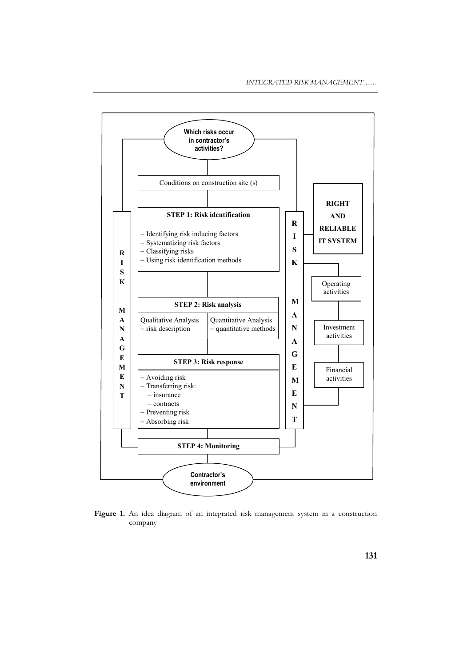

**Figure 1.** An idea diagram of an integrated risk management system in a construction company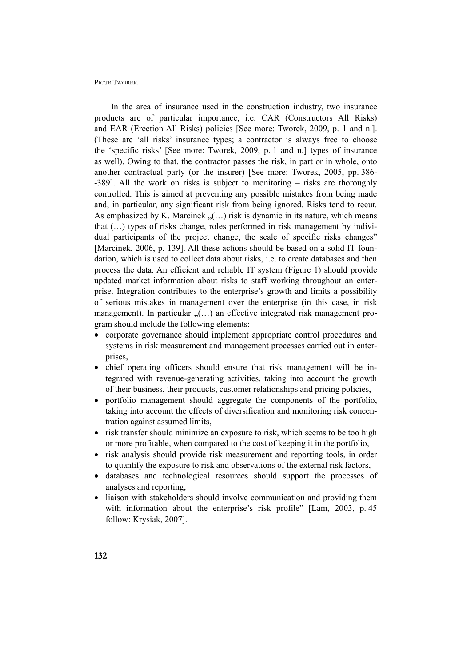#### PIOTR TWOREK

In the area of insurance used in the construction industry, two insurance products are of particular importance, i.e. CAR (Constructors All Risks) and EAR (Erection All Risks) policies [See more: Tworek, 2009, p. 1 and n.]. (These are 'all risks' insurance types; a contractor is always free to choose the 'specific risks' [See more: Tworek, 2009, p. 1 and n.] types of insurance as well). Owing to that, the contractor passes the risk, in part or in whole, onto another contractual party (or the insurer) [See more: Tworek, 2005, pp. 386- -389]. All the work on risks is subject to monitoring – risks are thoroughly controlled. This is aimed at preventing any possible mistakes from being made and, in particular, any significant risk from being ignored. Risks tend to recur. As emphasized by K. Marcinek  $($ ...) risk is dynamic in its nature, which means that (…) types of risks change, roles performed in risk management by individual participants of the project change, the scale of specific risks changes" [Marcinek, 2006, p. 139]. All these actions should be based on a solid IT foundation, which is used to collect data about risks, i.e. to create databases and then process the data. An efficient and reliable IT system (Figure 1) should provide updated market information about risks to staff working throughout an enterprise. Integration contributes to the enterprise's growth and limits a possibility of serious mistakes in management over the enterprise (in this case, in risk management). In particular  $(1, 0)$  an effective integrated risk management program should include the following elements:

- corporate governance should implement appropriate control procedures and systems in risk measurement and management processes carried out in enterprises,
- chief operating officers should ensure that risk management will be integrated with revenue-generating activities, taking into account the growth of their business, their products, customer relationships and pricing policies,
- portfolio management should aggregate the components of the portfolio, taking into account the effects of diversification and monitoring risk concentration against assumed limits,
- risk transfer should minimize an exposure to risk, which seems to be too high or more profitable, when compared to the cost of keeping it in the portfolio,
- risk analysis should provide risk measurement and reporting tools, in order to quantify the exposure to risk and observations of the external risk factors,
- databases and technological resources should support the processes of analyses and reporting,
- liaison with stakeholders should involve communication and providing them with information about the enterprise's risk profile" [Lam, 2003, p. 45] follow: Krysiak, 2007].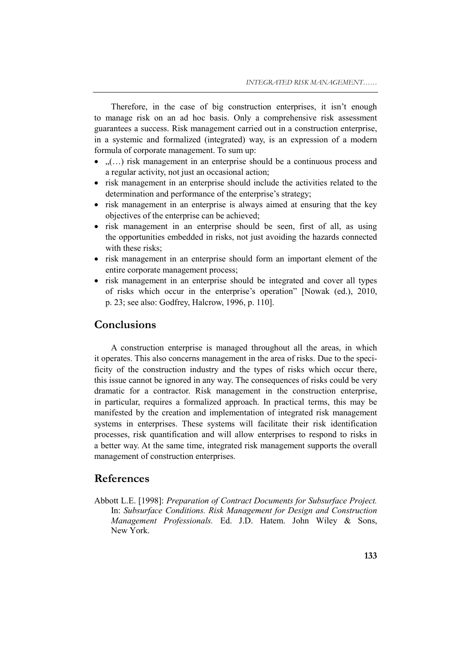Therefore, in the case of big construction enterprises, it isn't enough to manage risk on an ad hoc basis. Only a comprehensive risk assessment guarantees a success. Risk management carried out in a construction enterprise, in a systemic and formalized (integrated) way, is an expression of a modern formula of corporate management. To sum up:

- $\ldots$  risk management in an enterprise should be a continuous process and a regular activity, not just an occasional action;
- risk management in an enterprise should include the activities related to the determination and performance of the enterprise's strategy;
- risk management in an enterprise is always aimed at ensuring that the key objectives of the enterprise can be achieved;
- risk management in an enterprise should be seen, first of all, as using the opportunities embedded in risks, not just avoiding the hazards connected with these risks:
- risk management in an enterprise should form an important element of the entire corporate management process;
- risk management in an enterprise should be integrated and cover all types of risks which occur in the enterprise's operation" [Nowak (ed.), 2010, p. 23; see also: Godfrey, Halcrow, 1996, p. 110].

## **Conclusions**

A construction enterprise is managed throughout all the areas, in which it operates. This also concerns management in the area of risks. Due to the specificity of the construction industry and the types of risks which occur there, this issue cannot be ignored in any way. The consequences of risks could be very dramatic for a contractor. Risk management in the construction enterprise, in particular, requires a formalized approach. In practical terms, this may be manifested by the creation and implementation of integrated risk management systems in enterprises. These systems will facilitate their risk identification processes, risk quantification and will allow enterprises to respond to risks in a better way. At the same time, integrated risk management supports the overall management of construction enterprises.

## **References**

Abbott L.E. [1998]: *Preparation of Contract Documents for Subsurface Project.*  In: *Subsurface Conditions. Risk Management for Design and Construction Management Professionals.* Ed. J.D. Hatem. John Wiley & Sons, New York.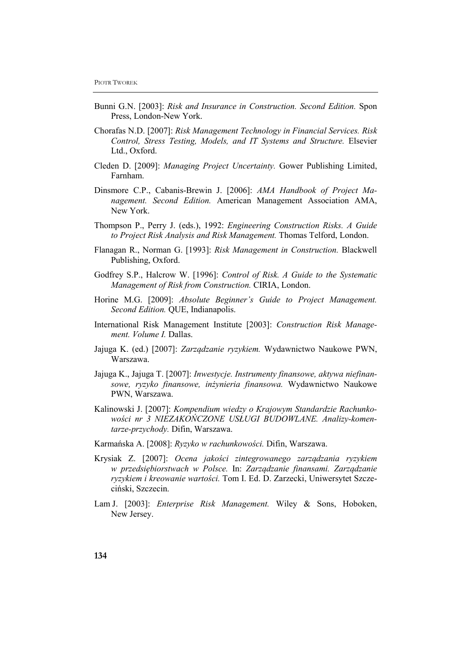- Bunni G.N. [2003]: *Risk and Insurance in Construction. Second Edition.* Spon Press, London-New York.
- Chorafas N.D. [2007]: *Risk Management Technology in Financial Services. Risk Control, Stress Testing, Models, and IT Systems and Structure.* Elsevier Ltd., Oxford.
- Cleden D. [2009]: *Managing Project Uncertainty.* Gower Publishing Limited, Farnham.
- Dinsmore C.P., Cabanis-Brewin J. [2006]: *AMA Handbook of Project Management. Second Edition.* American Management Association AMA, New York.
- Thompson P., Perry J. (eds.), 1992: *Engineering Construction Risks. A Guide to Project Risk Analysis and Risk Management.* Thomas Telford, London.
- Flanagan R., Norman G. [1993]: *Risk Management in Construction.* Blackwell Publishing, Oxford.
- Godfrey S.P., Halcrow W. [1996]: *Control of Risk. A Guide to the Systematic Management of Risk from Construction.* CIRIA, London.
- Horine M.G. [2009]: *Absolute Beginner's Guide to Project Management. Second Edition.* QUE, Indianapolis.
- International Risk Management Institute [2003]: *Construction Risk Management. Volume I.* Dallas.
- Jajuga K. (ed.) [2007]: *Zarządzanie ryzykiem.* Wydawnictwo Naukowe PWN, Warszawa.
- Jajuga K., Jajuga T. [2007]: *Inwestycje. Instrumenty finansowe, aktywa niefinansowe, ryzyko finansowe, inżynieria finansowa.* Wydawnictwo Naukowe PWN, Warszawa.
- Kalinowski J. [2007]: *Kompendium wiedzy o Krajowym Standardzie Rachunkowości nr 3 NIEZAKOŃCZONE USŁUGI BUDOWLANE. Analizy-komentarze-przychody.* Difin, Warszawa.
- Karmańska A. [2008]: *Ryzyko w rachunkowości.* Difin, Warszawa.
- Krysiak Z. [2007]: *Ocena jakości zintegrowanego zarządzania ryzykiem w przedsiębiorstwach w Polsce.* In: *Zarządzanie finansami. Zarządzanie ryzykiem i kreowanie wartości.* Tom I. Ed. D. Zarzecki, Uniwersytet Szczeciński, Szczecin.
- Lam J. [2003]: *Enterprise Risk Management.* Wiley & Sons, Hoboken, New Jersey.